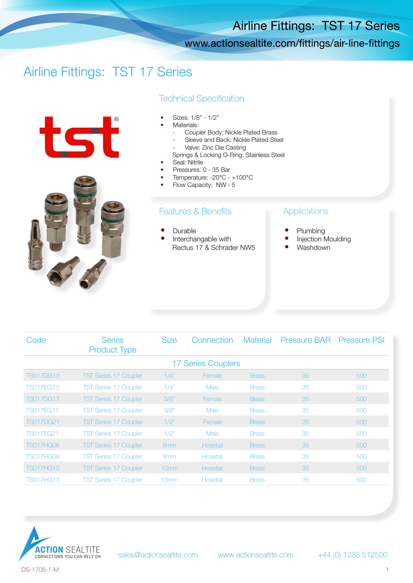## Airline Fittings: TST 17 Series

### www.actionsealtite.com/fittings/air-line-fittings

# Airline Fittings: TST 17 Series





#### **Technical Specification**

- Sizes: 1/8" 1/2"
- Materials:
	- Coupler Body: Nickle Plated Brass
	- Sleeve and Back: Nickle Plated Steel
	- Valve: Zinc Die Casting
	- Springs & Locking O-Ring: Stainless Steel
- Seal: Nitrile
- Pressures: 0 35 Bar
- Temperature: -20°C +100°C
- Flow Capacity: NW 5

#### **Features & Benefits**

- **Durable**
- Interchangable with Rectus 17 & Schrader NW5

#### Applications

- Plumbing
- Injection Moulding
- Washdown

| Code               | <b>Series</b><br><b>Product Type</b> | <b>Size</b>      | Connection    | <b>Material</b> | Pressure BAR Pressure PSI |     |  |  |  |  |  |
|--------------------|--------------------------------------|------------------|---------------|-----------------|---------------------------|-----|--|--|--|--|--|
| 17 Series Couplers |                                      |                  |               |                 |                           |     |  |  |  |  |  |
| <b>TS017DG13</b>   | <b>TST Series 17 Coupler</b>         | 1/4"             | Female        | <b>Brass</b>    | 35                        | 500 |  |  |  |  |  |
| <b>TS017FG13</b>   | <b>TST Series 17 Coupler</b>         | 1/4"             | <b>Male</b>   | <b>Brass</b>    | 35                        | 500 |  |  |  |  |  |
| <b>TS017DG17</b>   | <b>TST Series 17 Coupler</b>         | 3/8"             | Female        | <b>Brass</b>    | 35                        | 500 |  |  |  |  |  |
| <b>TS017FG17</b>   | <b>TST Series 17 Coupler</b>         | 3/8"             | Male          | <b>Brass</b>    | 35                        | 500 |  |  |  |  |  |
| <b>TS017DG21</b>   | <b>TST Series 17 Coupler</b>         | 1/2"             | <b>Female</b> | <b>Brass</b>    | 35                        | 500 |  |  |  |  |  |
| <b>TS017FG21</b>   | <b>TST Series 17 Coupler</b>         | 1/2"             | Male          | <b>Brass</b>    | 35                        | 500 |  |  |  |  |  |
| <b>TS017HG06</b>   | <b>TST Series 17 Coupler</b>         | 6mm              | Hosetail      | <b>Brass</b>    | 35                        | 500 |  |  |  |  |  |
| <b>TS017HG08</b>   | <b>TST Series 17 Coupler</b>         | 8 <sub>mm</sub>  | Hosetail      | <b>Brass</b>    | 35                        | 500 |  |  |  |  |  |
| <b>TS017HG10</b>   | <b>TST Series 17 Coupler</b>         | 10 <sub>mm</sub> | Hosetail      | <b>Brass</b>    | 35                        | 500 |  |  |  |  |  |
| <b>TS017HG13</b>   | <b>TST Series 17 Coupler</b>         | 13mm             | Hosetail      | <b>Brass</b>    | 35                        | 500 |  |  |  |  |  |